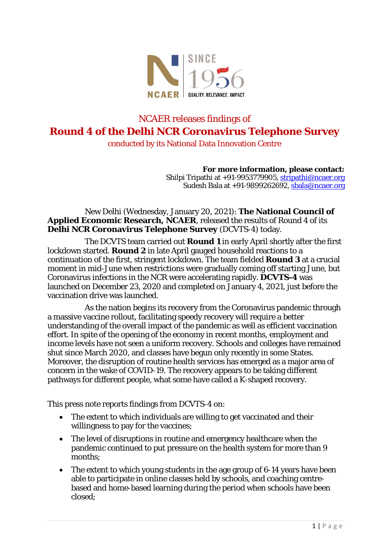

# NCAER releases findings of **Round 4 of the Delhi NCR Coronavirus Telephone Survey** conducted by its National Data Innovation Centre

**For more information, please contact:** Shilpi Tripathi at +91-9953779905, stripathi@ncaer.org Sudesh Bala at +91-9899262692, [sbala@ncaer.org](mailto:sbala@ncaer.org)

New Delhi (Wednesday, January 20, 2021): **The National Council of Applied Economic Research, NCAER**, released the results of Round 4 of its **Delhi NCR Coronavirus Telephone Survey** (DCVTS-4) today.

The DCVTS team carried out **Round 1** in early April shortly after the first lockdown started. **Round 2** in late April gauged household reactions to a continuation of the first, stringent lockdown. The team fielded **Round 3** at a crucial moment in mid-June when restrictions were gradually coming off starting June, but Coronavirus infections in the NCR were accelerating rapidly. **DCVTS-4** was launched on December 23, 2020 and completed on January 4, 2021, just before the vaccination drive was launched.

As the nation begins its recovery from the Coronavirus pandemic through a massive vaccine rollout, facilitating speedy recovery will require a better understanding of the overall impact of the pandemic as well as efficient vaccination effort. In spite of the opening of the economy in recent months, employment and income levels have not seen a uniform recovery. Schools and colleges have remained shut since March 2020, and classes have begun only recently in some States. Moreover, the disruption of routine health services has emerged as a major area of concern in the wake of COVID-19. The recovery appears to be taking different pathways for different people, what some have called a K-shaped recovery.

This press note reports findings from DCVTS-4 on:

- The extent to which individuals are willing to get vaccinated and their willingness to pay for the vaccines;
- The level of disruptions in routine and emergency healthcare when the pandemic continued to put pressure on the health system for more than 9 months;
- The extent to which young students in the age group of 6-14 years have been able to participate in online classes held by schools, and coaching centrebased and home-based learning during the period when schools have been closed;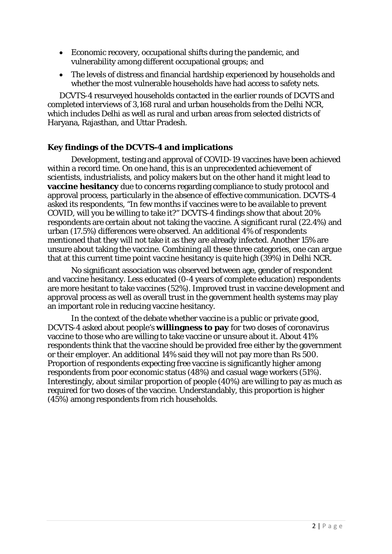- Economic recovery, occupational shifts during the pandemic, and vulnerability among different occupational groups; and
- The levels of distress and financial hardship experienced by households and whether the most vulnerable households have had access to safety nets.

DCVTS-4 resurveyed households contacted in the earlier rounds of DCVTS and completed interviews of 3,168 rural and urban households from the Delhi NCR, which includes Delhi as well as rural and urban areas from selected districts of Haryana, Rajasthan, and Uttar Pradesh.

## **Key findings of the DCVTS-4 and implications**

Development, testing and approval of COVID-19 vaccines have been achieved within a record time. On one hand, this is an unprecedented achievement of scientists, industrialists, and policy makers but on the other hand it might lead to **vaccine hesitancy** due to concerns regarding compliance to study protocol and approval process, particularly in the absence of effective communication. DCVTS-4 asked its respondents, "In few months if vaccines were to be available to prevent COVID, will you be willing to take it?" DCVTS-4 findings show that about 20% respondents are certain about not taking the vaccine. A significant rural (22.4%) and urban (17.5%) differences were observed. An additional 4% of respondents mentioned that they will not take it as they are already infected. Another 15% are unsure about taking the vaccine. Combining all these three categories, one can argue that at this current time point vaccine hesitancy is quite high (39%) in Delhi NCR.

No significant association was observed between age, gender of respondent and vaccine hesitancy. Less educated (0-4 years of complete education) respondents are more hesitant to take vaccines (52%). Improved trust in vaccine development and approval process as well as overall trust in the government health systems may play an important role in reducing vaccine hesitancy.

In the context of the debate whether vaccine is a public or private good, DCVTS-4 asked about people's **willingness to pay** for two doses of coronavirus vaccine to those who are willing to take vaccine or unsure about it. About 41% respondents think that the vaccine should be provided free either by the government or their employer. An additional 14% said they will not pay more than Rs 500. Proportion of respondents expecting free vaccine is significantly higher among respondents from poor economic status (48%) and casual wage workers (51%). Interestingly, about similar proportion of people (40%) are willing to pay as much as required for two doses of the vaccine. Understandably, this proportion is higher (45%) among respondents from rich households.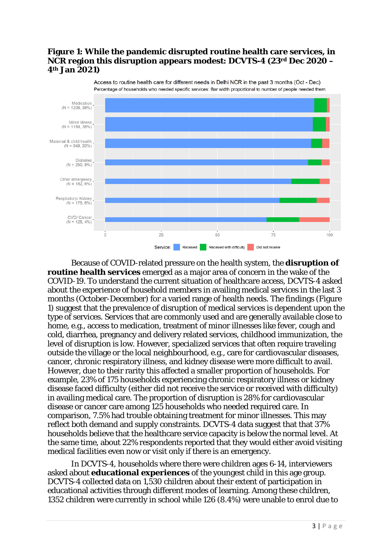### **Figure 1: While the pandemic disrupted routine health care services, in NCR region this disruption appears modest: DCVTS-4 (23rd Dec 2020 – 4th Jan 2021)**



Access to routine health care for different needs in Delhi NCR in the past 3 months (Oct - Dec) Percentage of households who needed specific services: Bar width proportional to number of people needed them

Because of COVID-related pressure on the health system, the **disruption of routine health services** emerged as a major area of concern in the wake of the COVID-19. To understand the current situation of healthcare access, DCVTS-4 asked about the experience of household members in availing medical services in the last 3 months (October-December) for a varied range of health needs. The findings (Figure 1) suggest that the prevalence of disruption of medical services is dependent upon the type of services. Services that are commonly used and are generally available close to home, e.g., access to medication, treatment of minor illnesses like fever, cough and cold, diarrhea, pregnancy and delivery related services, childhood immunization, the level of disruption is low. However, specialized services that often require traveling outside the village or the local neighbourhood, e.g., care for cardiovascular diseases, cancer, chronic respiratory illness, and kidney disease were more difficult to avail. However, due to their rarity this affected a smaller proportion of households. For example, 23% of 175 households experiencing chronic respiratory illness or kidney disease faced difficulty (either did not receive the service or received with difficulty) in availing medical care. The proportion of disruption is 28% for cardiovascular disease or cancer care among 125 households who needed required care. In comparison, 7.5% had trouble obtaining treatment for minor illnesses. This may reflect both demand and supply constraints. DCVTS-4 data suggest that that 37% households believe that the healthcare service capacity is below the normal level. At the same time, about 22% respondents reported that they would either avoid visiting medical facilities even now or visit only if there is an emergency.

In DCVTS-4, households where there were children ages 6-14, interviewers asked about **educational experiences** of the youngest child in this age group. DCVTS-4 collected data on 1,530 children about their extent of participation in educational activities through different modes of learning. Among these children, 1352 children were currently in school while 126 (8.4%) were unable to enrol due to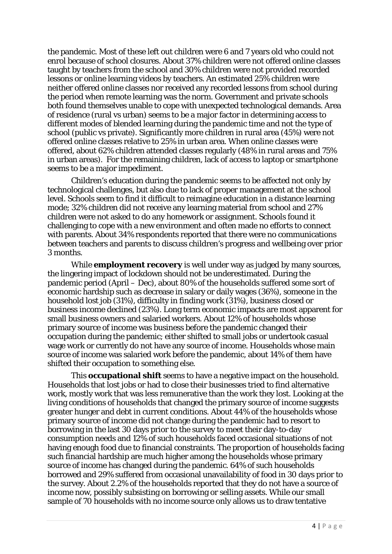the pandemic. Most of these left out children were 6 and 7 years old who could not enrol because of school closures. About 37% children were not offered online classes taught by teachers from the school and 30% children were not provided recorded lessons or online learning videos by teachers. An estimated 25% children were neither offered online classes nor received any recorded lessons from school during the period when remote learning was the norm. Government and private schools both found themselves unable to cope with unexpected technological demands. Area of residence (rural vs urban) seems to be a major factor in determining access to different modes of blended learning during the pandemic time and not the type of school (public vs private). Significantly more children in rural area (45%) were not offered online classes relative to 25% in urban area. When online classes were offered, about 62% children attended classes regularly (48% in rural areas and 75% in urban areas). For the remaining children, lack of access to laptop or smartphone seems to be a major impediment.

Children's education during the pandemic seems to be affected not only by technological challenges, but also due to lack of proper management at the school level. Schools seem to find it difficult to reimagine education in a distance learning mode; 32% children did not receive any learning material from school and 27% children were not asked to do any homework or assignment. Schools found it challenging to cope with a new environment and often made no efforts to connect with parents. About 34% respondents reported that there were no communications between teachers and parents to discuss children's progress and wellbeing over prior 3 months.

While **employment recovery** is well under way as judged by many sources, the lingering impact of lockdown should not be underestimated. During the pandemic period (April – Dec), about 80% of the households suffered some sort of economic hardship such as decrease in salary or daily wages (36%), someone in the household lost job (31%), difficulty in finding work (31%), business closed or business income declined (23%). Long term economic impacts are most apparent for small business owners and salaried workers. About 12% of households whose primary source of income was business before the pandemic changed their occupation during the pandemic; either shifted to small jobs or undertook casual wage work or currently do not have any source of income. Households whose main source of income was salaried work before the pandemic, about 14% of them have shifted their occupation to something else.

This **occupational shift** seems to have a negative impact on the household. Households that lost jobs or had to close their businesses tried to find alternative work, mostly work that was less remunerative than the work they lost. Looking at the living conditions of households that changed the primary source of income suggests greater hunger and debt in current conditions. About 44% of the households whose primary source of income did not change during the pandemic had to resort to borrowing in the last 30 days prior to the survey to meet their day-to-day consumption needs and 12% of such households faced occasional situations of not having enough food due to financial constraints. The proportion of households facing such financial hardship are much higher among the households whose primary source of income has changed during the pandemic. 64% of such households borrowed and 29% suffered from occasional unavailability of food in 30 days prior to the survey. About 2.2% of the households reported that they do not have a source of income now, possibly subsisting on borrowing or selling assets. While our small sample of 70 households with no income source only allows us to draw tentative